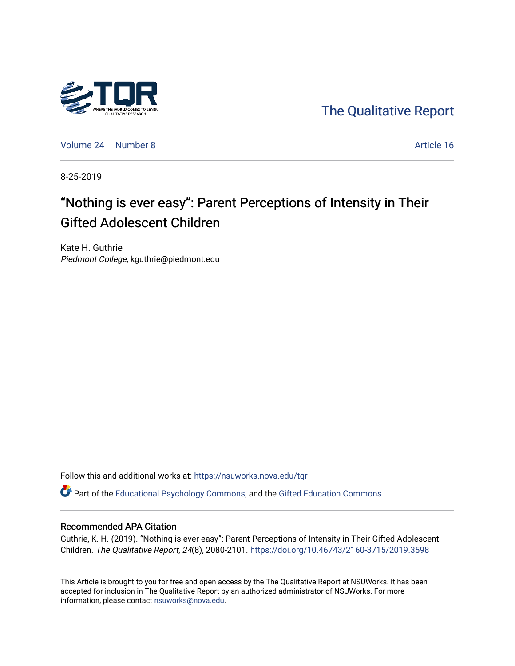

[The Qualitative Report](https://nsuworks.nova.edu/tqr) 

[Volume 24](https://nsuworks.nova.edu/tqr/vol24) [Number 8](https://nsuworks.nova.edu/tqr/vol24/iss8) Article 16

8-25-2019

## "Nothing is ever easy": Parent Perceptions of Intensity in Their Gifted Adolescent Children

Kate H. Guthrie Piedmont College, kguthrie@piedmont.edu

Follow this and additional works at: [https://nsuworks.nova.edu/tqr](https://nsuworks.nova.edu/tqr?utm_source=nsuworks.nova.edu%2Ftqr%2Fvol24%2Fiss8%2F16&utm_medium=PDF&utm_campaign=PDFCoverPages) 

Part of the [Educational Psychology Commons,](http://network.bepress.com/hgg/discipline/798?utm_source=nsuworks.nova.edu%2Ftqr%2Fvol24%2Fiss8%2F16&utm_medium=PDF&utm_campaign=PDFCoverPages) and the [Gifted Education Commons](http://network.bepress.com/hgg/discipline/1048?utm_source=nsuworks.nova.edu%2Ftqr%2Fvol24%2Fiss8%2F16&utm_medium=PDF&utm_campaign=PDFCoverPages) 

## Recommended APA Citation

Guthrie, K. H. (2019). "Nothing is ever easy": Parent Perceptions of Intensity in Their Gifted Adolescent Children. The Qualitative Report, 24(8), 2080-2101. <https://doi.org/10.46743/2160-3715/2019.3598>

This Article is brought to you for free and open access by the The Qualitative Report at NSUWorks. It has been accepted for inclusion in The Qualitative Report by an authorized administrator of NSUWorks. For more information, please contact [nsuworks@nova.edu.](mailto:nsuworks@nova.edu)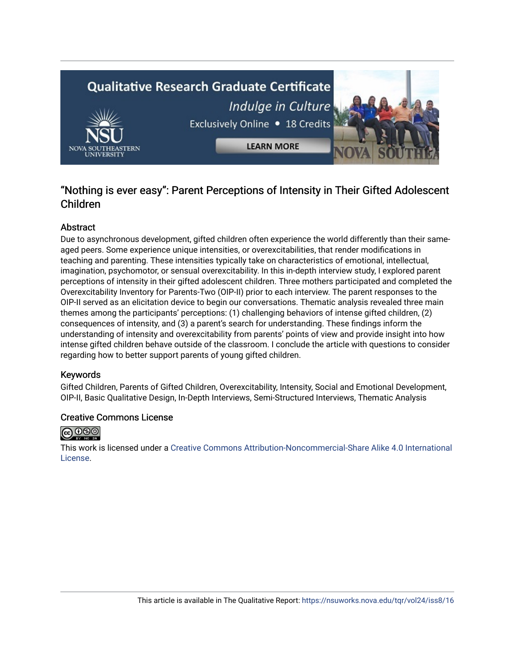# **Qualitative Research Graduate Certificate** Indulge in Culture Exclusively Online . 18 Credits **LEARN MORE**

## "Nothing is ever easy": Parent Perceptions of Intensity in Their Gifted Adolescent Children

## Abstract

Due to asynchronous development, gifted children often experience the world differently than their sameaged peers. Some experience unique intensities, or overexcitabilities, that render modifications in teaching and parenting. These intensities typically take on characteristics of emotional, intellectual, imagination, psychomotor, or sensual overexcitability. In this in-depth interview study, I explored parent perceptions of intensity in their gifted adolescent children. Three mothers participated and completed the Overexcitability Inventory for Parents-Two (OIP-II) prior to each interview. The parent responses to the OIP-II served as an elicitation device to begin our conversations. Thematic analysis revealed three main themes among the participants' perceptions: (1) challenging behaviors of intense gifted children, (2) consequences of intensity, and (3) a parent's search for understanding. These findings inform the understanding of intensity and overexcitability from parents' points of view and provide insight into how intense gifted children behave outside of the classroom. I conclude the article with questions to consider regarding how to better support parents of young gifted children.

## Keywords

Gifted Children, Parents of Gifted Children, Overexcitability, Intensity, Social and Emotional Development, OIP-II, Basic Qualitative Design, In-Depth Interviews, Semi-Structured Interviews, Thematic Analysis

## Creative Commons License



This work is licensed under a [Creative Commons Attribution-Noncommercial-Share Alike 4.0 International](https://creativecommons.org/licenses/by-nc-sa/4.0/)  [License](https://creativecommons.org/licenses/by-nc-sa/4.0/).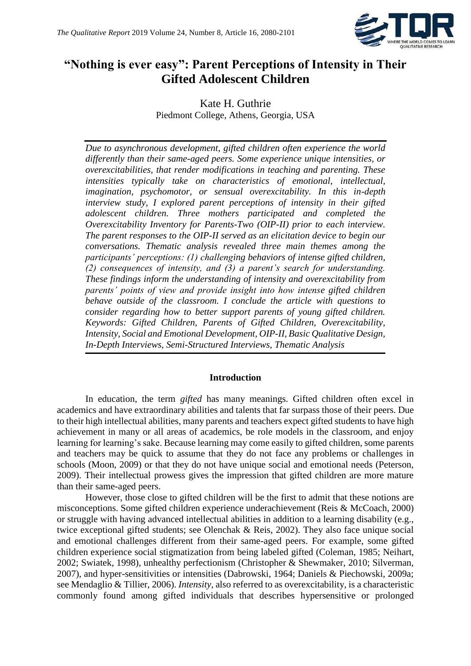

## **"Nothing is ever easy": Parent Perceptions of Intensity in Their Gifted Adolescent Children**

Kate H. Guthrie Piedmont College, Athens, Georgia, USA

*Due to asynchronous development, gifted children often experience the world differently than their same-aged peers. Some experience unique intensities, or overexcitabilities, that render modifications in teaching and parenting. These intensities typically take on characteristics of emotional, intellectual, imagination, psychomotor, or sensual overexcitability. In this in-depth interview study, I explored parent perceptions of intensity in their gifted adolescent children. Three mothers participated and completed the Overexcitability Inventory for Parents-Two (OIP-II) prior to each interview. The parent responses to the OIP-II served as an elicitation device to begin our conversations. Thematic analysis revealed three main themes among the participants' perceptions: (1) challenging behaviors of intense gifted children, (2) consequences of intensity, and (3) a parent's search for understanding. These findings inform the understanding of intensity and overexcitability from parents' points of view and provide insight into how intense gifted children behave outside of the classroom. I conclude the article with questions to consider regarding how to better support parents of young gifted children. Keywords: Gifted Children, Parents of Gifted Children, Overexcitability, Intensity, Social and Emotional Development, OIP-II, Basic Qualitative Design, In-Depth Interviews, Semi-Structured Interviews, Thematic Analysis*

## **Introduction**

In education, the term *gifted* has many meanings. Gifted children often excel in academics and have extraordinary abilities and talents that far surpass those of their peers. Due to their high intellectual abilities, many parents and teachers expect gifted students to have high achievement in many or all areas of academics, be role models in the classroom, and enjoy learning for learning's sake. Because learning may come easily to gifted children, some parents and teachers may be quick to assume that they do not face any problems or challenges in schools (Moon, 2009) or that they do not have unique social and emotional needs (Peterson, 2009). Their intellectual prowess gives the impression that gifted children are more mature than their same-aged peers.

However, those close to gifted children will be the first to admit that these notions are misconceptions. Some gifted children experience underachievement (Reis & McCoach, 2000) or struggle with having advanced intellectual abilities in addition to a learning disability (e.g., twice exceptional gifted students; see Olenchak & Reis, 2002). They also face unique social and emotional challenges different from their same-aged peers. For example, some gifted children experience social stigmatization from being labeled gifted (Coleman, 1985; Neihart, 2002; Swiatek, 1998), unhealthy perfectionism (Christopher & Shewmaker, 2010; Silverman, 2007), and hyper-sensitivities or intensities (Dabrowski, 1964; Daniels & Piechowski, 2009a; see Mendaglio & Tillier, 2006). *Intensity*, also referred to as overexcitability, is a characteristic commonly found among gifted individuals that describes hypersensitive or prolonged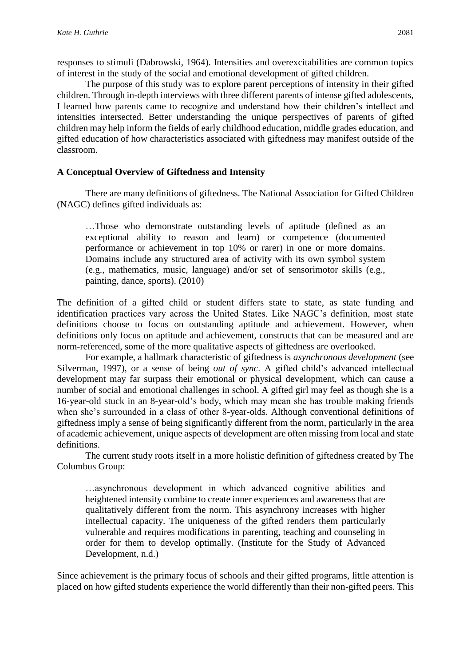responses to stimuli (Dabrowski, 1964). Intensities and overexcitabilities are common topics of interest in the study of the social and emotional development of gifted children.

The purpose of this study was to explore parent perceptions of intensity in their gifted children. Through in-depth interviews with three different parents of intense gifted adolescents, I learned how parents came to recognize and understand how their children's intellect and intensities intersected. Better understanding the unique perspectives of parents of gifted children may help inform the fields of early childhood education, middle grades education, and gifted education of how characteristics associated with giftedness may manifest outside of the classroom.

## **A Conceptual Overview of Giftedness and Intensity**

There are many definitions of giftedness. The National Association for Gifted Children (NAGC) defines gifted individuals as:

…Those who demonstrate outstanding levels of aptitude (defined as an exceptional ability to reason and learn) or competence (documented performance or achievement in top 10% or rarer) in one or more domains. Domains include any structured area of activity with its own symbol system (e.g., mathematics, music, language) and/or set of sensorimotor skills (e.g., painting, dance, sports). (2010)

The definition of a gifted child or student differs state to state, as state funding and identification practices vary across the United States. Like NAGC's definition, most state definitions choose to focus on outstanding aptitude and achievement. However, when definitions only focus on aptitude and achievement, constructs that can be measured and are norm-referenced, some of the more qualitative aspects of giftedness are overlooked.

For example, a hallmark characteristic of giftedness is *asynchronous development* (see Silverman, 1997), or a sense of being *out of sync*. A gifted child's advanced intellectual development may far surpass their emotional or physical development, which can cause a number of social and emotional challenges in school. A gifted girl may feel as though she is a 16-year-old stuck in an 8-year-old's body, which may mean she has trouble making friends when she's surrounded in a class of other 8-year-olds. Although conventional definitions of giftedness imply a sense of being significantly different from the norm, particularly in the area of academic achievement, unique aspects of development are often missing from local and state definitions.

The current study roots itself in a more holistic definition of giftedness created by The Columbus Group:

…asynchronous development in which advanced cognitive abilities and heightened intensity combine to create inner experiences and awareness that are qualitatively different from the norm. This asynchrony increases with higher intellectual capacity. The uniqueness of the gifted renders them particularly vulnerable and requires modifications in parenting, teaching and counseling in order for them to develop optimally. (Institute for the Study of Advanced Development, n.d.)

Since achievement is the primary focus of schools and their gifted programs, little attention is placed on how gifted students experience the world differently than their non-gifted peers. This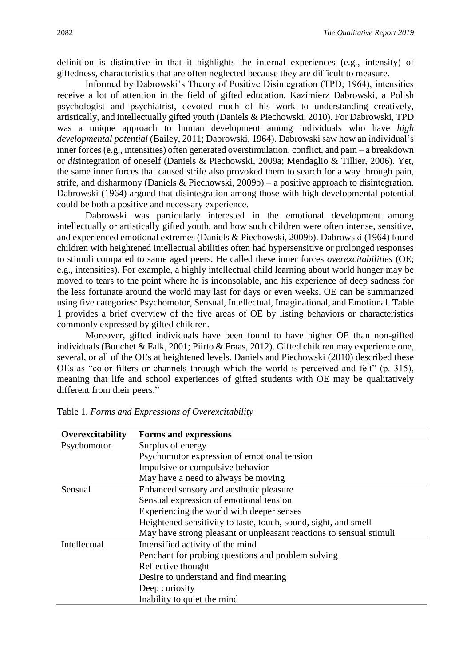definition is distinctive in that it highlights the internal experiences (e.g., intensity) of giftedness, characteristics that are often neglected because they are difficult to measure.

Informed by Dabrowski's Theory of Positive Disintegration (TPD; 1964), intensities receive a lot of attention in the field of gifted education. Kazimierz Dabrowski, a Polish psychologist and psychiatrist, devoted much of his work to understanding creatively, artistically, and intellectually gifted youth (Daniels & Piechowski, 2010). For Dabrowski, TPD was a unique approach to human development among individuals who have *high developmental potential* (Bailey, 2011; Dabrowski, 1964). Dabrowski saw how an individual's inner forces (e.g., intensities) often generated overstimulation, conflict, and pain – a breakdown or *dis*integration of oneself (Daniels & Piechowski, 2009a; Mendaglio & Tillier, 2006). Yet, the same inner forces that caused strife also provoked them to search for a way through pain, strife, and disharmony (Daniels & Piechowski, 2009b) – a positive approach to disintegration. Dabrowski (1964) argued that disintegration among those with high developmental potential could be both a positive and necessary experience.

Dabrowski was particularly interested in the emotional development among intellectually or artistically gifted youth, and how such children were often intense, sensitive, and experienced emotional extremes (Daniels & Piechowski, 2009b). Dabrowski (1964) found children with heightened intellectual abilities often had hypersensitive or prolonged responses to stimuli compared to same aged peers. He called these inner forces *overexcitabilities* (OE; e.g., intensities). For example, a highly intellectual child learning about world hunger may be moved to tears to the point where he is inconsolable, and his experience of deep sadness for the less fortunate around the world may last for days or even weeks. OE can be summarized using five categories: Psychomotor, Sensual, Intellectual, Imaginational, and Emotional. Table 1 provides a brief overview of the five areas of OE by listing behaviors or characteristics commonly expressed by gifted children.

Moreover, gifted individuals have been found to have higher OE than non-gifted individuals (Bouchet & Falk, 2001; Piirto & Fraas, 2012). Gifted children may experience one, several, or all of the OEs at heightened levels. Daniels and Piechowski (2010) described these OEs as "color filters or channels through which the world is perceived and felt" (p. 315), meaning that life and school experiences of gifted students with OE may be qualitatively different from their peers."

| Overexcitability | <b>Forms and expressions</b>                                        |  |  |  |  |
|------------------|---------------------------------------------------------------------|--|--|--|--|
| Psychomotor      | Surplus of energy                                                   |  |  |  |  |
|                  | Psychomotor expression of emotional tension                         |  |  |  |  |
|                  | Impulsive or compulsive behavior                                    |  |  |  |  |
|                  | May have a need to always be moving                                 |  |  |  |  |
| Sensual          | Enhanced sensory and aesthetic pleasure                             |  |  |  |  |
|                  | Sensual expression of emotional tension                             |  |  |  |  |
|                  | Experiencing the world with deeper senses                           |  |  |  |  |
|                  | Heightened sensitivity to taste, touch, sound, sight, and smell     |  |  |  |  |
|                  | May have strong pleasant or unpleasant reactions to sensual stimuli |  |  |  |  |
| Intellectual     | Intensified activity of the mind                                    |  |  |  |  |
|                  | Penchant for probing questions and problem solving                  |  |  |  |  |
|                  | Reflective thought                                                  |  |  |  |  |
|                  | Desire to understand and find meaning                               |  |  |  |  |
|                  | Deep curiosity                                                      |  |  |  |  |
|                  | Inability to quiet the mind                                         |  |  |  |  |

Table 1. *Forms and Expressions of Overexcitability*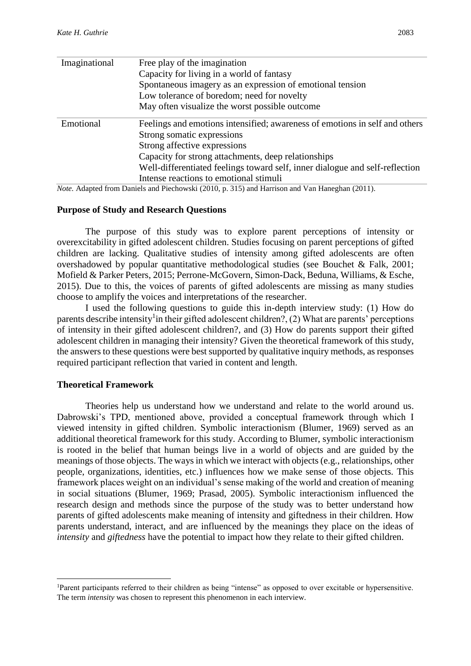| Imaginational | Free play of the imagination                                                 |  |  |
|---------------|------------------------------------------------------------------------------|--|--|
|               | Capacity for living in a world of fantasy                                    |  |  |
|               | Spontaneous imagery as an expression of emotional tension                    |  |  |
|               | Low tolerance of boredom; need for novelty                                   |  |  |
|               | May often visualize the worst possible outcome                               |  |  |
| Emotional     | Feelings and emotions intensified; awareness of emotions in self and others  |  |  |
|               | Strong somatic expressions                                                   |  |  |
|               | Strong affective expressions                                                 |  |  |
|               | Capacity for strong attachments, deep relationships                          |  |  |
|               | Well-differentiated feelings toward self, inner dialogue and self-reflection |  |  |
|               | Intense reactions to emotional stimuli                                       |  |  |
|               |                                                                              |  |  |

*Note.* Adapted from Daniels and Piechowski (2010, p. 315) and Harrison and Van Haneghan (2011).

## **Purpose of Study and Research Questions**

The purpose of this study was to explore parent perceptions of intensity or overexcitability in gifted adolescent children. Studies focusing on parent perceptions of gifted children are lacking. Qualitative studies of intensity among gifted adolescents are often overshadowed by popular quantitative methodological studies (see Bouchet & Falk, 2001; Mofield & Parker Peters, 2015; Perrone-McGovern, Simon-Dack, Beduna, Williams, & Esche, 2015). Due to this, the voices of parents of gifted adolescents are missing as many studies choose to amplify the voices and interpretations of the researcher.

I used the following questions to guide this in-depth interview study: (1) How do parents describe intensity<sup>1</sup> in their gifted adolescent children?, (2) What are parents' perceptions of intensity in their gifted adolescent children?, and (3) How do parents support their gifted adolescent children in managing their intensity? Given the theoretical framework of this study, the answers to these questions were best supported by qualitative inquiry methods, as responses required participant reflection that varied in content and length.

## **Theoretical Framework**

**.** 

Theories help us understand how we understand and relate to the world around us. Dabrowski's TPD, mentioned above, provided a conceptual framework through which I viewed intensity in gifted children. Symbolic interactionism (Blumer, 1969) served as an additional theoretical framework for this study. According to Blumer, symbolic interactionism is rooted in the belief that human beings live in a world of objects and are guided by the meanings of those objects. The ways in which we interact with objects (e.g., relationships, other people, organizations, identities, etc.) influences how we make sense of those objects. This framework places weight on an individual's sense making of the world and creation of meaning in social situations (Blumer, 1969; Prasad, 2005). Symbolic interactionism influenced the research design and methods since the purpose of the study was to better understand how parents of gifted adolescents make meaning of intensity and giftedness in their children. How parents understand, interact, and are influenced by the meanings they place on the ideas of *intensity* and *giftedness* have the potential to impact how they relate to their gifted children.

<sup>1</sup>Parent participants referred to their children as being "intense" as opposed to over excitable or hypersensitive. The term *intensity* was chosen to represent this phenomenon in each interview.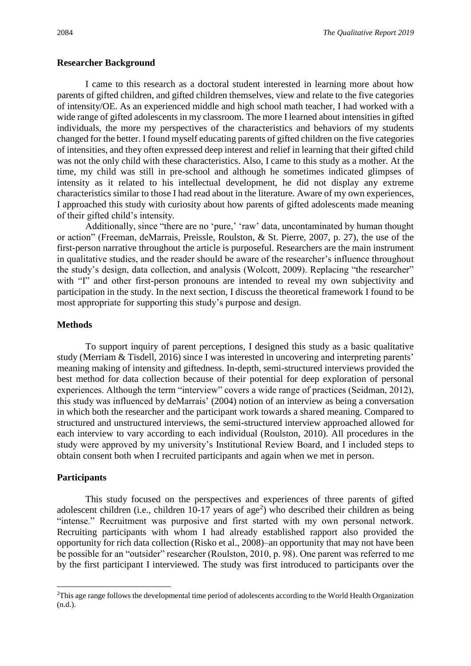#### **Researcher Background**

I came to this research as a doctoral student interested in learning more about how parents of gifted children, and gifted children themselves, view and relate to the five categories of intensity/OE. As an experienced middle and high school math teacher, I had worked with a wide range of gifted adolescents in my classroom. The more I learned about intensities in gifted individuals, the more my perspectives of the characteristics and behaviors of my students changed for the better. I found myself educating parents of gifted children on the five categories of intensities, and they often expressed deep interest and relief in learning that their gifted child was not the only child with these characteristics. Also, I came to this study as a mother. At the time, my child was still in pre-school and although he sometimes indicated glimpses of intensity as it related to his intellectual development, he did not display any extreme characteristics similar to those I had read about in the literature. Aware of my own experiences, I approached this study with curiosity about how parents of gifted adolescents made meaning of their gifted child's intensity.

Additionally, since "there are no 'pure,' 'raw' data, uncontaminated by human thought or action" (Freeman, deMarrais, Preissle, Roulston, & St. Pierre, 2007, p. 27), the use of the first-person narrative throughout the article is purposeful. Researchers are the main instrument in qualitative studies, and the reader should be aware of the researcher's influence throughout the study's design, data collection, and analysis (Wolcott, 2009). Replacing "the researcher" with "I" and other first-person pronouns are intended to reveal my own subjectivity and participation in the study. In the next section, I discuss the theoretical framework I found to be most appropriate for supporting this study's purpose and design.

## **Methods**

To support inquiry of parent perceptions, I designed this study as a basic qualitative study (Merriam & Tisdell, 2016) since I was interested in uncovering and interpreting parents' meaning making of intensity and giftedness. In-depth, semi-structured interviews provided the best method for data collection because of their potential for deep exploration of personal experiences. Although the term "interview" covers a wide range of practices (Seidman, 2012), this study was influenced by deMarrais' (2004) notion of an interview as being a conversation in which both the researcher and the participant work towards a shared meaning. Compared to structured and unstructured interviews, the semi-structured interview approached allowed for each interview to vary according to each individual (Roulston, 2010). All procedures in the study were approved by my university's Institutional Review Board, and I included steps to obtain consent both when I recruited participants and again when we met in person.

### **Participants**

1

This study focused on the perspectives and experiences of three parents of gifted adolescent children (i.e., children  $10-17$  years of age<sup>2</sup>) who described their children as being "intense." Recruitment was purposive and first started with my own personal network. Recruiting participants with whom I had already established rapport also provided the opportunity for rich data collection (Risko et al., 2008)–an opportunity that may not have been be possible for an "outsider" researcher (Roulston, 2010, p. 98). One parent was referred to me by the first participant I interviewed. The study was first introduced to participants over the

<sup>&</sup>lt;sup>2</sup>This age range follows the developmental time period of adolescents according to the World Health Organization (n.d.).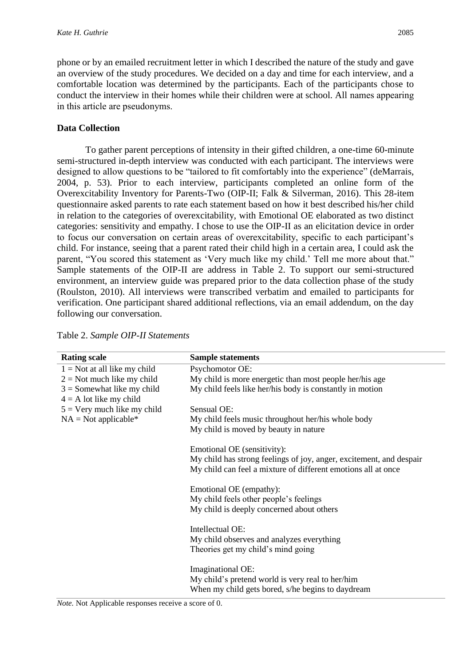phone or by an emailed recruitment letter in which I described the nature of the study and gave an overview of the study procedures. We decided on a day and time for each interview, and a comfortable location was determined by the participants. Each of the participants chose to conduct the interview in their homes while their children were at school. All names appearing in this article are pseudonyms.

## **Data Collection**

To gather parent perceptions of intensity in their gifted children, a one-time 60-minute semi-structured in-depth interview was conducted with each participant. The interviews were designed to allow questions to be "tailored to fit comfortably into the experience" (deMarrais, 2004, p. 53). Prior to each interview, participants completed an online form of the Overexcitability Inventory for Parents-Two (OIP-II; Falk & Silverman, 2016). This 28-item questionnaire asked parents to rate each statement based on how it best described his/her child in relation to the categories of overexcitability, with Emotional OE elaborated as two distinct categories: sensitivity and empathy. I chose to use the OIP-II as an elicitation device in order to focus our conversation on certain areas of overexcitability, specific to each participant's child. For instance, seeing that a parent rated their child high in a certain area, I could ask the parent, "You scored this statement as 'Very much like my child.' Tell me more about that." Sample statements of the OIP-II are address in Table 2. To support our semi-structured environment, an interview guide was prepared prior to the data collection phase of the study (Roulston, 2010). All interviews were transcribed verbatim and emailed to participants for verification. One participant shared additional reflections, via an email addendum, on the day following our conversation.

| <b>Rating scale</b>            | <b>Sample statements</b>                                            |
|--------------------------------|---------------------------------------------------------------------|
| $1 =$ Not at all like my child | Psychomotor OE:                                                     |
| $2 =$ Not much like my child   | My child is more energetic than most people her/his age             |
| $3 =$ Somewhat like my child   | My child feels like her/his body is constantly in motion            |
| $4 = A$ lot like my child      |                                                                     |
| $5 =$ Very much like my child  | Sensual OE:                                                         |
| $NA = Not applicable*$         | My child feels music throughout her/his whole body                  |
|                                | My child is moved by beauty in nature                               |
|                                |                                                                     |
|                                | Emotional OE (sensitivity):                                         |
|                                | My child has strong feelings of joy, anger, excitement, and despair |
|                                | My child can feel a mixture of different emotions all at once       |
|                                |                                                                     |
|                                | Emotional OE (empathy):                                             |
|                                | My child feels other people's feelings                              |
|                                | My child is deeply concerned about others                           |
|                                |                                                                     |
|                                | Intellectual OE:                                                    |
|                                | My child observes and analyzes everything                           |
|                                | Theories get my child's mind going                                  |
|                                | Imaginational OE:                                                   |
|                                | My child's pretend world is very real to her/him                    |
|                                |                                                                     |
|                                | When my child gets bored, s/he begins to daydream                   |

Table 2. *Sample OIP-II Statements*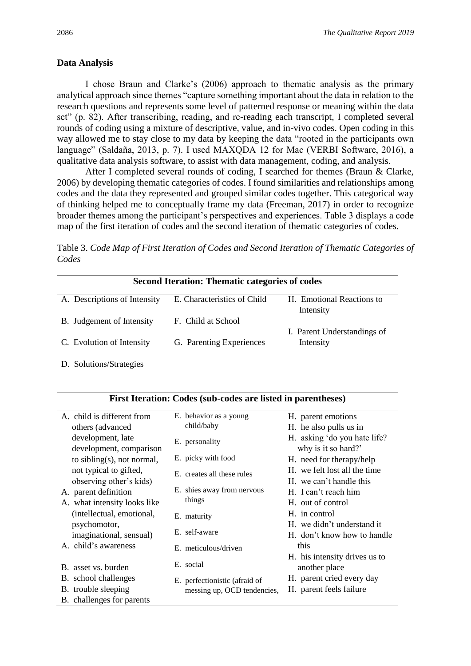## **Data Analysis**

I chose Braun and Clarke's (2006) approach to thematic analysis as the primary analytical approach since themes "capture something important about the data in relation to the research questions and represents some level of patterned response or meaning within the data set" (p. 82). After transcribing, reading, and re-reading each transcript, I completed several rounds of coding using a mixture of descriptive, value, and in-vivo codes. Open coding in this way allowed me to stay close to my data by keeping the data "rooted in the participants own language" (Saldaña, 2013, p. 7). I used MAXQDA 12 for Mac (VERBI Software, 2016), a qualitative data analysis software, to assist with data management, coding, and analysis.

After I completed several rounds of coding, I searched for themes (Braun & Clarke, 2006) by developing thematic categories of codes. I found similarities and relationships among codes and the data they represented and grouped similar codes together. This categorical way of thinking helped me to conceptually frame my data (Freeman, 2017) in order to recognize broader themes among the participant's perspectives and experiences. Table 3 displays a code map of the first iteration of codes and the second iteration of thematic categories of codes.

Table 3. *Code Map of First Iteration of Codes and Second Iteration of Thematic Categories of Codes*

| <b>Second Iteration: Thematic categories of codes</b> |                             |                             |  |  |
|-------------------------------------------------------|-----------------------------|-----------------------------|--|--|
| A. Descriptions of Intensity                          | E. Characteristics of Child | H. Emotional Reactions to   |  |  |
|                                                       |                             | Intensity                   |  |  |
| B. Judgement of Intensity                             | F. Child at School          |                             |  |  |
|                                                       |                             | I. Parent Understandings of |  |  |
| C. Evolution of Intensity                             | G. Parenting Experiences    | Intensity                   |  |  |
|                                                       |                             |                             |  |  |

**First Iteration: Codes (sub-codes are listed in parentheses)**

D. Solutions/Strategies

| A. child is different from   | E. behavior as a young        | H. parent emotions            |
|------------------------------|-------------------------------|-------------------------------|
| others (advanced)            | child/baby                    | H. he also pulls us in        |
| development, late            | E. personality                | H. asking 'do you hate life?  |
| development, comparison      |                               | why is it so hard?'           |
| to sibling(s), not normal,   | E. picky with food            | H. need for therapy/help      |
| not typical to gifted,       | E. creates all these rules    | H. we felt lost all the time  |
| observing other's kids)      |                               | H. we can't handle this       |
| A. parent definition         | E. shies away from nervous    | H. I can't reach him          |
| A. what intensity looks like | things                        | H. out of control             |
| (intellectual, emotional,    | E. maturity                   | H. in control                 |
| psychomotor,                 |                               | H. we didn't understand it    |
| imaginational, sensual)      | E. self-aware                 | H. don't know how to handle   |
| A. child's awareness         | E. meticulous/driven          | this                          |
|                              |                               | H. his intensity drives us to |
| B. asset vs. burden          | E. social                     | another place                 |
| B. school challenges         | E. perfectionistic (afraid of | H. parent cried every day     |
| B. trouble sleeping          | messing up, OCD tendencies,   | H. parent feels failure       |
| B. challenges for parents    |                               |                               |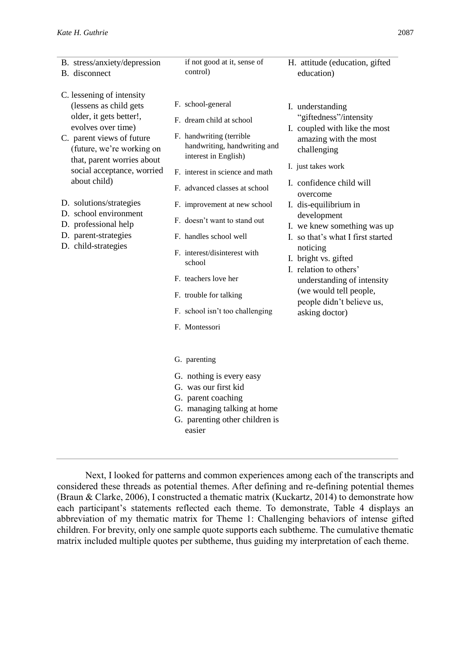- B. stress/anxiety/depression B. disconnect C. lessening of intensity (lessens as child gets older, it gets better!, evolves over time) C. parent views of future (future, we're working on that, parent worries about social acceptance, worried about child) D. solutions/strategies D. school environment D. professional help D. parent-strategies D. child-strategies if not good at it, sense of control) F. school-general F. dream child at school F. handwriting (terrible handwriting, handwriting and interest in English) F. interest in science and math F. advanced classes at school F. improvement at new school F. doesn't want to stand out F. handles school well F. interest/disinterest with school F. teachers love her F. trouble for talking F. school isn't too challenging F. Montessori G. parenting G. nothing is every easy G. was our first kid G. parent coaching G. managing talking at home H. attitude (education, gifted education) I. understanding "giftedness"/intensity I. coupled with like the most amazing with the most challenging I. just takes work I. confidence child will overcome I. dis-equilibrium in development I. we knew something was up I. so that's what I first started noticing I. bright vs. gifted I. relation to others' understanding of intensity (we would tell people, people didn't believe us, asking doctor)
	- G. parenting other children is easier

Next, I looked for patterns and common experiences among each of the transcripts and considered these threads as potential themes. After defining and re-defining potential themes (Braun & Clarke, 2006), I constructed a thematic matrix (Kuckartz, 2014) to demonstrate how each participant's statements reflected each theme. To demonstrate, Table 4 displays an abbreviation of my thematic matrix for Theme 1: Challenging behaviors of intense gifted children. For brevity, only one sample quote supports each subtheme. The cumulative thematic matrix included multiple quotes per subtheme, thus guiding my interpretation of each theme.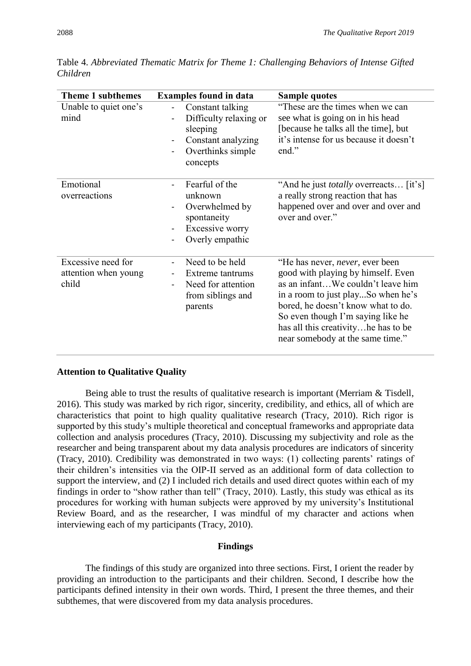| <b>Theme 1 subthemes</b><br><b>Examples found in data</b> |                                                                                                               | <b>Sample quotes</b>                                                                                                                                                                                                                                                                                            |
|-----------------------------------------------------------|---------------------------------------------------------------------------------------------------------------|-----------------------------------------------------------------------------------------------------------------------------------------------------------------------------------------------------------------------------------------------------------------------------------------------------------------|
| Unable to quiet one's<br>mind                             | Constant talking<br>Difficulty relaxing or<br>sleeping<br>Constant analyzing<br>Overthinks simple<br>concepts | "These are the times when we can<br>see what is going on in his head<br>[because he talks all the time], but<br>it's intense for us because it doesn't<br>end."                                                                                                                                                 |
| Emotional<br>overreactions                                | Fearful of the<br>unknown<br>Overwhelmed by<br>spontaneity<br>Excessive worry<br>Overly empathic              | "And he just <i>totally</i> overreacts [it's]<br>a really strong reaction that has<br>happened over and over and over and<br>over and over."                                                                                                                                                                    |
| Excessive need for<br>attention when young<br>child       | Need to be held<br>Extreme tantrums<br>Need for attention<br>from siblings and<br>parents                     | "He has never, <i>never</i> , ever been<br>good with playing by himself. Even<br>as an infantWe couldn't leave him<br>in a room to just playSo when he's<br>bored, he doesn't know what to do.<br>So even though I'm saying like he<br>has all this creativity he has to be<br>near somebody at the same time." |

Table 4. *Abbreviated Thematic Matrix for Theme 1: Challenging Behaviors of Intense Gifted Children*

## **Attention to Qualitative Quality**

Being able to trust the results of qualitative research is important (Merriam & Tisdell, 2016). This study was marked by rich rigor, sincerity, credibility, and ethics, all of which are characteristics that point to high quality qualitative research (Tracy, 2010). Rich rigor is supported by this study's multiple theoretical and conceptual frameworks and appropriate data collection and analysis procedures (Tracy, 2010). Discussing my subjectivity and role as the researcher and being transparent about my data analysis procedures are indicators of sincerity (Tracy, 2010). Credibility was demonstrated in two ways: (1) collecting parents' ratings of their children's intensities via the OIP-II served as an additional form of data collection to support the interview, and (2) I included rich details and used direct quotes within each of my findings in order to "show rather than tell" (Tracy, 2010). Lastly, this study was ethical as its procedures for working with human subjects were approved by my university's Institutional Review Board, and as the researcher, I was mindful of my character and actions when interviewing each of my participants (Tracy, 2010).

#### **Findings**

The findings of this study are organized into three sections. First, I orient the reader by providing an introduction to the participants and their children. Second, I describe how the participants defined intensity in their own words. Third, I present the three themes, and their subthemes, that were discovered from my data analysis procedures.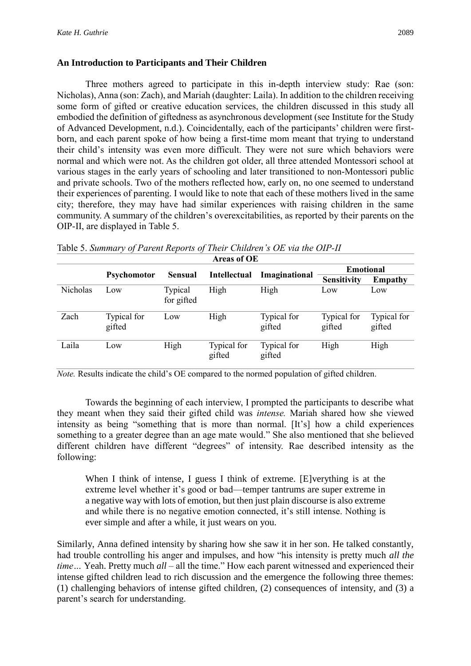## **An Introduction to Participants and Their Children**

Three mothers agreed to participate in this in-depth interview study: Rae (son: Nicholas), Anna (son: Zach), and Mariah (daughter: Laila). In addition to the children receiving some form of gifted or creative education services, the children discussed in this study all embodied the definition of giftedness as asynchronous development (see Institute for the Study of Advanced Development, n.d.). Coincidentally, each of the participants' children were firstborn, and each parent spoke of how being a first-time mom meant that trying to understand their child's intensity was even more difficult. They were not sure which behaviors were normal and which were not. As the children got older, all three attended Montessori school at various stages in the early years of schooling and later transitioned to non-Montessori public and private schools. Two of the mothers reflected how, early on, no one seemed to understand their experiences of parenting. I would like to note that each of these mothers lived in the same city; therefore, they may have had similar experiences with raising children in the same community. A summary of the children's overexcitabilities, as reported by their parents on the OIP-II, are displayed in Table 5.

| <b>Areas of OE</b> |                       |                       |                       |                       |                       |                       |
|--------------------|-----------------------|-----------------------|-----------------------|-----------------------|-----------------------|-----------------------|
|                    |                       |                       |                       |                       | <b>Emotional</b>      |                       |
|                    | <b>Psychomotor</b>    | <b>Sensual</b>        | <b>Intellectual</b>   | Imaginational         | Sensitivity           | <b>Empathy</b>        |
| Nicholas           | Low                   | Typical<br>for gifted | High                  | High                  | Low                   | Low                   |
| Zach               | Typical for<br>gifted | Low                   | High                  | Typical for<br>gifted | Typical for<br>gifted | Typical for<br>gifted |
| Laila              | Low                   | High                  | Typical for<br>gifted | Typical for<br>gifted | High                  | High                  |

Table 5. *Summary of Parent Reports of Their Children's OE via the OIP-II*

*Note.* Results indicate the child's OE compared to the normed population of gifted children.

Towards the beginning of each interview, I prompted the participants to describe what they meant when they said their gifted child was *intense.* Mariah shared how she viewed intensity as being "something that is more than normal. [It's] how a child experiences something to a greater degree than an age mate would." She also mentioned that she believed different children have different "degrees" of intensity. Rae described intensity as the following:

When I think of intense, I guess I think of extreme. [E]verything is at the extreme level whether it's good or bad—temper tantrums are super extreme in a negative way with lots of emotion, but then just plain discourse is also extreme and while there is no negative emotion connected, it's still intense. Nothing is ever simple and after a while, it just wears on you.

Similarly, Anna defined intensity by sharing how she saw it in her son. He talked constantly, had trouble controlling his anger and impulses, and how "his intensity is pretty much *all the time…* Yeah. Pretty much *all* – all the time." How each parent witnessed and experienced their intense gifted children lead to rich discussion and the emergence the following three themes: (1) challenging behaviors of intense gifted children, (2) consequences of intensity, and (3) a parent's search for understanding.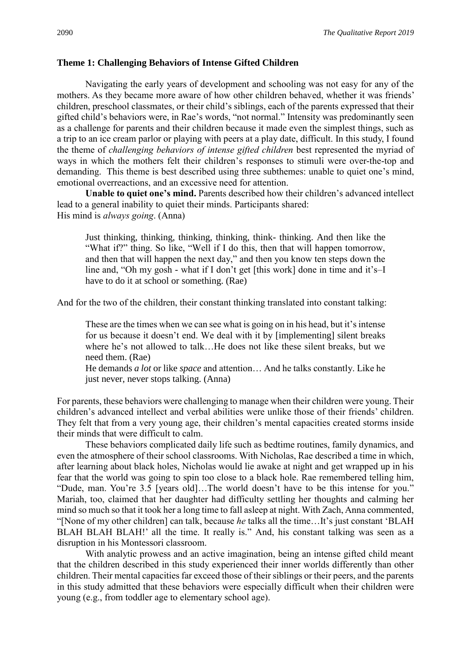## **Theme 1: Challenging Behaviors of Intense Gifted Children**

Navigating the early years of development and schooling was not easy for any of the mothers. As they became more aware of how other children behaved, whether it was friends' children, preschool classmates, or their child's siblings, each of the parents expressed that their gifted child's behaviors were, in Rae's words, "not normal." Intensity was predominantly seen as a challenge for parents and their children because it made even the simplest things, such as a trip to an ice cream parlor or playing with peers at a play date, difficult. In this study, I found the theme of *challenging behaviors of intense gifted children* best represented the myriad of ways in which the mothers felt their children's responses to stimuli were over-the-top and demanding. This theme is best described using three subthemes: unable to quiet one's mind, emotional overreactions, and an excessive need for attention.

**Unable to quiet one's mind.** Parents described how their children's advanced intellect lead to a general inability to quiet their minds. Participants shared: His mind is *always going*. (Anna)

Just thinking, thinking, thinking, thinking, think- thinking. And then like the "What if?" thing. So like, "Well if I do this, then that will happen tomorrow, and then that will happen the next day," and then you know ten steps down the line and, "Oh my gosh - what if I don't get [this work] done in time and it's–I have to do it at school or something. (Rae)

And for the two of the children, their constant thinking translated into constant talking:

These are the times when we can see what is going on in his head, but it's intense for us because it doesn't end. We deal with it by [implementing] silent breaks where he's not allowed to talk…He does not like these silent breaks, but we need them. (Rae)

He demands *a lot* or like *space* and attention… And he talks constantly. Like he just never, never stops talking. (Anna)

For parents, these behaviors were challenging to manage when their children were young. Their children's advanced intellect and verbal abilities were unlike those of their friends' children. They felt that from a very young age, their children's mental capacities created storms inside their minds that were difficult to calm.

These behaviors complicated daily life such as bedtime routines, family dynamics, and even the atmosphere of their school classrooms. With Nicholas, Rae described a time in which, after learning about black holes, Nicholas would lie awake at night and get wrapped up in his fear that the world was going to spin too close to a black hole. Rae remembered telling him, "Dude, man. You're 3.5 [years old]…The world doesn't have to be this intense for you." Mariah, too, claimed that her daughter had difficulty settling her thoughts and calming her mind so much so that it took her a long time to fall asleep at night. With Zach, Anna commented, "[None of my other children] can talk, because *he* talks all the time…It's just constant 'BLAH BLAH BLAH BLAH!' all the time. It really is." And, his constant talking was seen as a disruption in his Montessori classroom.

With analytic prowess and an active imagination, being an intense gifted child meant that the children described in this study experienced their inner worlds differently than other children. Their mental capacities far exceed those of their siblings or their peers, and the parents in this study admitted that these behaviors were especially difficult when their children were young (e.g., from toddler age to elementary school age).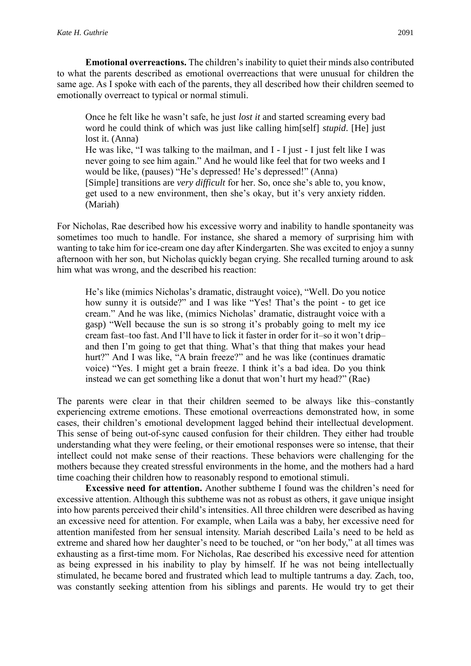**Emotional overreactions.** The children's inability to quiet their minds also contributed to what the parents described as emotional overreactions that were unusual for children the same age. As I spoke with each of the parents, they all described how their children seemed to emotionally overreact to typical or normal stimuli.

Once he felt like he wasn't safe, he just *lost it* and started screaming every bad word he could think of which was just like calling him[self] *stupid*. [He] just lost it. (Anna) He was like, "I was talking to the mailman, and I - I just - I just felt like I was never going to see him again." And he would like feel that for two weeks and I would be like, (pauses) "He's depressed! He's depressed!" (Anna) [Simple] transitions are *very difficult* for her. So, once she's able to, you know, get used to a new environment, then she's okay, but it's very anxiety ridden. (Mariah)

For Nicholas, Rae described how his excessive worry and inability to handle spontaneity was sometimes too much to handle. For instance, she shared a memory of surprising him with wanting to take him for ice-cream one day after Kindergarten. She was excited to enjoy a sunny afternoon with her son, but Nicholas quickly began crying. She recalled turning around to ask him what was wrong, and the described his reaction:

He's like (mimics Nicholas's dramatic, distraught voice), "Well. Do you notice how sunny it is outside?" and I was like "Yes! That's the point - to get ice cream." And he was like, (mimics Nicholas' dramatic, distraught voice with a gasp) "Well because the sun is so strong it's probably going to melt my ice cream fast–too fast. And I'll have to lick it faster in order for it–so it won't drip– and then I'm going to get that thing. What's that thing that makes your head hurt?" And I was like, "A brain freeze?" and he was like (continues dramatic voice) "Yes. I might get a brain freeze. I think it's a bad idea. Do you think instead we can get something like a donut that won't hurt my head?" (Rae)

The parents were clear in that their children seemed to be always like this–constantly experiencing extreme emotions. These emotional overreactions demonstrated how, in some cases, their children's emotional development lagged behind their intellectual development. This sense of being out-of-sync caused confusion for their children. They either had trouble understanding what they were feeling, or their emotional responses were so intense, that their intellect could not make sense of their reactions. These behaviors were challenging for the mothers because they created stressful environments in the home, and the mothers had a hard time coaching their children how to reasonably respond to emotional stimuli.

**Excessive need for attention.** Another subtheme I found was the children's need for excessive attention. Although this subtheme was not as robust as others, it gave unique insight into how parents perceived their child's intensities. All three children were described as having an excessive need for attention. For example, when Laila was a baby, her excessive need for attention manifested from her sensual intensity. Mariah described Laila's need to be held as extreme and shared how her daughter's need to be touched, or "on her body," at all times was exhausting as a first-time mom. For Nicholas, Rae described his excessive need for attention as being expressed in his inability to play by himself. If he was not being intellectually stimulated, he became bored and frustrated which lead to multiple tantrums a day. Zach, too, was constantly seeking attention from his siblings and parents. He would try to get their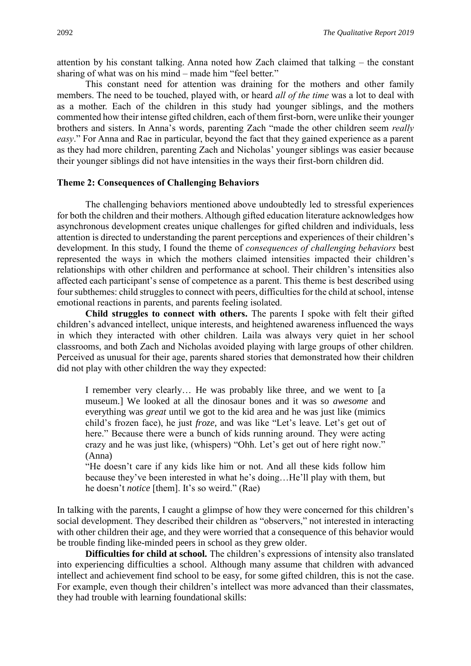attention by his constant talking. Anna noted how Zach claimed that talking – the constant sharing of what was on his mind – made him "feel better."

This constant need for attention was draining for the mothers and other family members. The need to be touched, played with, or heard *all of the time* was a lot to deal with as a mother. Each of the children in this study had younger siblings, and the mothers commented how their intense gifted children, each of them first-born, were unlike their younger brothers and sisters. In Anna's words, parenting Zach "made the other children seem *really easy*." For Anna and Rae in particular, beyond the fact that they gained experience as a parent as they had more children, parenting Zach and Nicholas' younger siblings was easier because their younger siblings did not have intensities in the ways their first-born children did.

## **Theme 2: Consequences of Challenging Behaviors**

The challenging behaviors mentioned above undoubtedly led to stressful experiences for both the children and their mothers. Although gifted education literature acknowledges how asynchronous development creates unique challenges for gifted children and individuals, less attention is directed to understanding the parent perceptions and experiences of their children's development. In this study, I found the theme of *consequences of challenging behaviors* best represented the ways in which the mothers claimed intensities impacted their children's relationships with other children and performance at school. Their children's intensities also affected each participant's sense of competence as a parent. This theme is best described using four subthemes: child struggles to connect with peers, difficulties for the child at school, intense emotional reactions in parents, and parents feeling isolated.

**Child struggles to connect with others.** The parents I spoke with felt their gifted children's advanced intellect, unique interests, and heightened awareness influenced the ways in which they interacted with other children. Laila was always very quiet in her school classrooms, and both Zach and Nicholas avoided playing with large groups of other children. Perceived as unusual for their age, parents shared stories that demonstrated how their children did not play with other children the way they expected:

I remember very clearly… He was probably like three, and we went to [a museum.] We looked at all the dinosaur bones and it was so *awesome* and everything was *great* until we got to the kid area and he was just like (mimics child's frozen face), he just *froze*, and was like "Let's leave. Let's get out of here." Because there were a bunch of kids running around. They were acting crazy and he was just like, (whispers) "Ohh. Let's get out of here right now." (Anna)

"He doesn't care if any kids like him or not. And all these kids follow him because they've been interested in what he's doing…He'll play with them, but he doesn't *notice* [them]. It's so weird." (Rae)

In talking with the parents, I caught a glimpse of how they were concerned for this children's social development. They described their children as "observers," not interested in interacting with other children their age, and they were worried that a consequence of this behavior would be trouble finding like-minded peers in school as they grew older.

**Difficulties for child at school.** The children's expressions of intensity also translated into experiencing difficulties a school. Although many assume that children with advanced intellect and achievement find school to be easy, for some gifted children, this is not the case. For example, even though their children's intellect was more advanced than their classmates, they had trouble with learning foundational skills: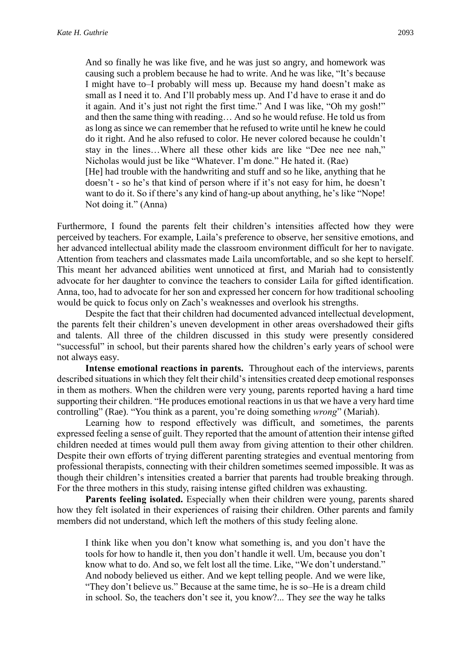And so finally he was like five, and he was just so angry, and homework was causing such a problem because he had to write. And he was like, "It's because I might have to–I probably will mess up. Because my hand doesn't make as small as I need it to. And I'll probably mess up. And I'd have to erase it and do it again. And it's just not right the first time." And I was like, "Oh my gosh!" and then the same thing with reading… And so he would refuse. He told us from as long as since we can remember that he refused to write until he knew he could do it right. And he also refused to color. He never colored because he couldn't stay in the lines…Where all these other kids are like "Dee nee nee nah," Nicholas would just be like "Whatever. I'm done." He hated it. (Rae) [He] had trouble with the handwriting and stuff and so he like, anything that he doesn't - so he's that kind of person where if it's not easy for him, he doesn't

want to do it. So if there's any kind of hang-up about anything, he's like "Nope! Not doing it." (Anna)

Furthermore, I found the parents felt their children's intensities affected how they were perceived by teachers. For example, Laila's preference to observe, her sensitive emotions, and her advanced intellectual ability made the classroom environment difficult for her to navigate. Attention from teachers and classmates made Laila uncomfortable, and so she kept to herself. This meant her advanced abilities went unnoticed at first, and Mariah had to consistently advocate for her daughter to convince the teachers to consider Laila for gifted identification. Anna, too, had to advocate for her son and expressed her concern for how traditional schooling would be quick to focus only on Zach's weaknesses and overlook his strengths.

Despite the fact that their children had documented advanced intellectual development, the parents felt their children's uneven development in other areas overshadowed their gifts and talents. All three of the children discussed in this study were presently considered "successful" in school, but their parents shared how the children's early years of school were not always easy.

**Intense emotional reactions in parents.** Throughout each of the interviews, parents described situations in which they felt their child's intensities created deep emotional responses in them as mothers. When the children were very young, parents reported having a hard time supporting their children. "He produces emotional reactions in us that we have a very hard time controlling" (Rae). "You think as a parent, you're doing something *wrong*" (Mariah).

Learning how to respond effectively was difficult, and sometimes, the parents expressed feeling a sense of guilt. They reported that the amount of attention their intense gifted children needed at times would pull them away from giving attention to their other children. Despite their own efforts of trying different parenting strategies and eventual mentoring from professional therapists, connecting with their children sometimes seemed impossible. It was as though their children's intensities created a barrier that parents had trouble breaking through. For the three mothers in this study, raising intense gifted children was exhausting.

**Parents feeling isolated.** Especially when their children were young, parents shared how they felt isolated in their experiences of raising their children. Other parents and family members did not understand, which left the mothers of this study feeling alone.

I think like when you don't know what something is, and you don't have the tools for how to handle it, then you don't handle it well. Um, because you don't know what to do. And so, we felt lost all the time. Like, "We don't understand." And nobody believed us either. And we kept telling people. And we were like, "They don't believe us." Because at the same time, he is so–He is a dream child in school. So, the teachers don't see it, you know?... They *see* the way he talks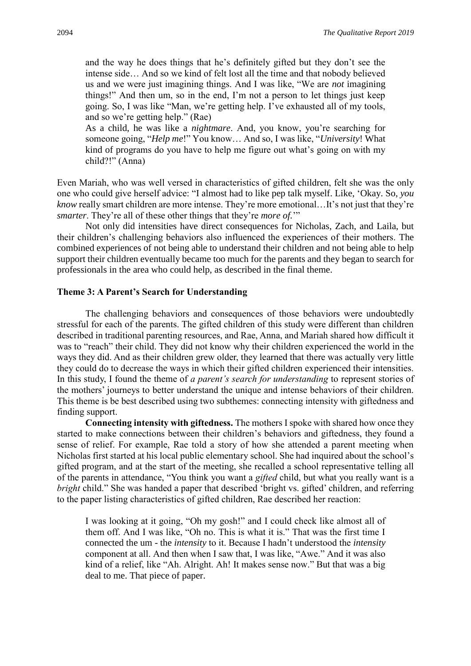and the way he does things that he's definitely gifted but they don't see the intense side… And so we kind of felt lost all the time and that nobody believed us and we were just imagining things. And I was like, "We are *not* imagining things!" And then um, so in the end, I'm not a person to let things just keep going. So, I was like "Man, we're getting help. I've exhausted all of my tools, and so we're getting help." (Rae)

As a child, he was like a *nightmare*. And, you know, you're searching for someone going, "*Help me*!" You know… And so, I was like, "*University*! What kind of programs do you have to help me figure out what's going on with my child?!" (Anna)

Even Mariah, who was well versed in characteristics of gifted children, felt she was the only one who could give herself advice: "I almost had to like pep talk myself. Like, 'Okay. So, *you know* really smart children are more intense. They're more emotional…It's not just that they're *smarter*. They're all of these other things that they're *more of.*'"

Not only did intensities have direct consequences for Nicholas, Zach, and Laila, but their children's challenging behaviors also influenced the experiences of their mothers. The combined experiences of not being able to understand their children and not being able to help support their children eventually became too much for the parents and they began to search for professionals in the area who could help, as described in the final theme.

#### **Theme 3: A Parent's Search for Understanding**

The challenging behaviors and consequences of those behaviors were undoubtedly stressful for each of the parents. The gifted children of this study were different than children described in traditional parenting resources, and Rae, Anna, and Mariah shared how difficult it was to "reach" their child. They did not know why their children experienced the world in the ways they did. And as their children grew older, they learned that there was actually very little they could do to decrease the ways in which their gifted children experienced their intensities. In this study, I found the theme of *a parent's search for understanding* to represent stories of the mothers' journeys to better understand the unique and intense behaviors of their children. This theme is be best described using two subthemes: connecting intensity with giftedness and finding support.

**Connecting intensity with giftedness.** The mothers I spoke with shared how once they started to make connections between their children's behaviors and giftedness, they found a sense of relief. For example, Rae told a story of how she attended a parent meeting when Nicholas first started at his local public elementary school. She had inquired about the school's gifted program, and at the start of the meeting, she recalled a school representative telling all of the parents in attendance, "You think you want a *gifted* child, but what you really want is a *bright* child." She was handed a paper that described 'bright vs. gifted' children, and referring to the paper listing characteristics of gifted children, Rae described her reaction:

I was looking at it going, "Oh my gosh!" and I could check like almost all of them off. And I was like, "Oh no. This is what it is." That was the first time I connected the um - the *intensity* to it. Because I hadn't understood the *intensity* component at all. And then when I saw that, I was like, "Awe." And it was also kind of a relief, like "Ah. Alright. Ah! It makes sense now." But that was a big deal to me. That piece of paper.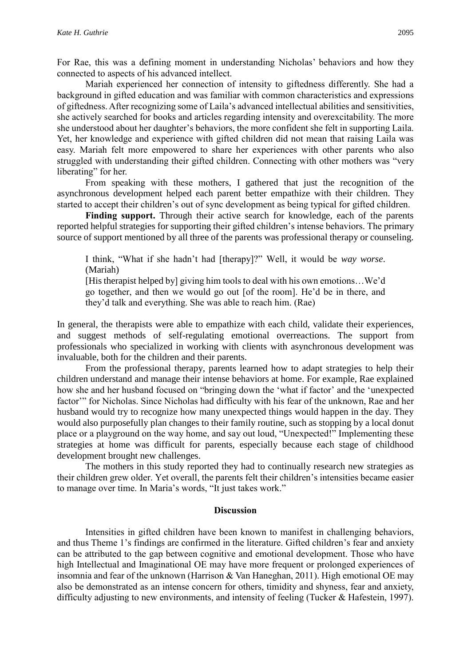For Rae, this was a defining moment in understanding Nicholas' behaviors and how they connected to aspects of his advanced intellect.

Mariah experienced her connection of intensity to giftedness differently. She had a background in gifted education and was familiar with common characteristics and expressions of giftedness. After recognizing some of Laila's advanced intellectual abilities and sensitivities, she actively searched for books and articles regarding intensity and overexcitability. The more she understood about her daughter's behaviors, the more confident she felt in supporting Laila. Yet, her knowledge and experience with gifted children did not mean that raising Laila was easy. Mariah felt more empowered to share her experiences with other parents who also struggled with understanding their gifted children. Connecting with other mothers was "very liberating" for her.

From speaking with these mothers, I gathered that just the recognition of the asynchronous development helped each parent better empathize with their children. They started to accept their children's out of sync development as being typical for gifted children.

Finding support. Through their active search for knowledge, each of the parents reported helpful strategies for supporting their gifted children's intense behaviors. The primary source of support mentioned by all three of the parents was professional therapy or counseling.

I think, "What if she hadn't had [therapy]?" Well, it would be *way worse*. (Mariah)

[His therapist helped by] giving him tools to deal with his own emotions…We'd go together, and then we would go out [of the room]. He'd be in there, and they'd talk and everything. She was able to reach him. (Rae)

In general, the therapists were able to empathize with each child, validate their experiences, and suggest methods of self-regulating emotional overreactions. The support from professionals who specialized in working with clients with asynchronous development was invaluable, both for the children and their parents.

From the professional therapy, parents learned how to adapt strategies to help their children understand and manage their intense behaviors at home. For example, Rae explained how she and her husband focused on "bringing down the 'what if factor' and the 'unexpected factor" for Nicholas. Since Nicholas had difficulty with his fear of the unknown, Rae and her husband would try to recognize how many unexpected things would happen in the day. They would also purposefully plan changes to their family routine, such as stopping by a local donut place or a playground on the way home, and say out loud, "Unexpected!" Implementing these strategies at home was difficult for parents, especially because each stage of childhood development brought new challenges.

The mothers in this study reported they had to continually research new strategies as their children grew older. Yet overall, the parents felt their children's intensities became easier to manage over time. In Maria's words, "It just takes work."

#### **Discussion**

Intensities in gifted children have been known to manifest in challenging behaviors, and thus Theme 1's findings are confirmed in the literature. Gifted children's fear and anxiety can be attributed to the gap between cognitive and emotional development. Those who have high Intellectual and Imaginational OE may have more frequent or prolonged experiences of insomnia and fear of the unknown (Harrison & Van Haneghan, 2011). High emotional OE may also be demonstrated as an intense concern for others, timidity and shyness, fear and anxiety, difficulty adjusting to new environments, and intensity of feeling (Tucker & Hafestein, 1997).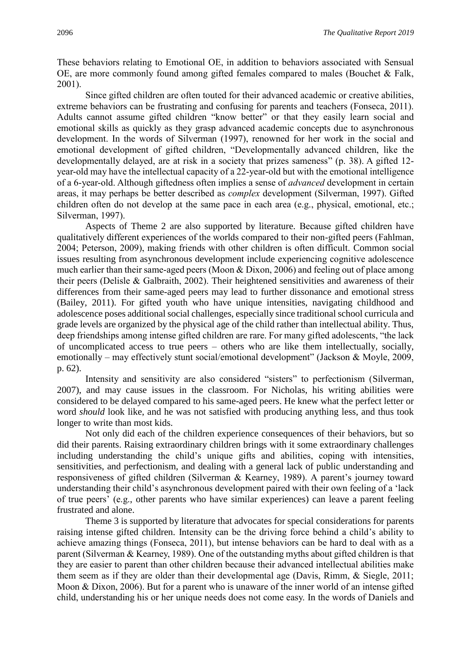These behaviors relating to Emotional OE, in addition to behaviors associated with Sensual OE, are more commonly found among gifted females compared to males (Bouchet & Falk, 2001).

Since gifted children are often touted for their advanced academic or creative abilities, extreme behaviors can be frustrating and confusing for parents and teachers (Fonseca, 2011). Adults cannot assume gifted children "know better" or that they easily learn social and emotional skills as quickly as they grasp advanced academic concepts due to asynchronous development. In the words of Silverman (1997), renowned for her work in the social and emotional development of gifted children, "Developmentally advanced children, like the developmentally delayed, are at risk in a society that prizes sameness" (p. 38). A gifted 12 year-old may have the intellectual capacity of a 22-year-old but with the emotional intelligence of a 6-year-old. Although giftedness often implies a sense of *advanced* development in certain areas, it may perhaps be better described as *complex* development (Silverman, 1997). Gifted children often do not develop at the same pace in each area (e.g., physical, emotional, etc.; Silverman, 1997).

Aspects of Theme 2 are also supported by literature. Because gifted children have qualitatively different experiences of the worlds compared to their non-gifted peers (Fahlman, 2004; Peterson, 2009), making friends with other children is often difficult. Common social issues resulting from asynchronous development include experiencing cognitive adolescence much earlier than their same-aged peers (Moon & Dixon, 2006) and feeling out of place among their peers (Delisle & Galbraith, 2002). Their heightened sensitivities and awareness of their differences from their same-aged peers may lead to further dissonance and emotional stress (Bailey, 2011). For gifted youth who have unique intensities, navigating childhood and adolescence poses additional social challenges, especially since traditional school curricula and grade levels are organized by the physical age of the child rather than intellectual ability. Thus, deep friendships among intense gifted children are rare. For many gifted adolescents, "the lack of uncomplicated access to true peers – others who are like them intellectually, socially, emotionally – may effectively stunt social/emotional development" (Jackson & Moyle, 2009, p. 62).

Intensity and sensitivity are also considered "sisters" to perfectionism (Silverman, 2007), and may cause issues in the classroom. For Nicholas, his writing abilities were considered to be delayed compared to his same-aged peers. He knew what the perfect letter or word *should* look like, and he was not satisfied with producing anything less, and thus took longer to write than most kids.

Not only did each of the children experience consequences of their behaviors, but so did their parents. Raising extraordinary children brings with it some extraordinary challenges including understanding the child's unique gifts and abilities, coping with intensities, sensitivities, and perfectionism, and dealing with a general lack of public understanding and responsiveness of gifted children (Silverman & Kearney, 1989). A parent's journey toward understanding their child's asynchronous development paired with their own feeling of a 'lack of true peers' (e.g., other parents who have similar experiences) can leave a parent feeling frustrated and alone.

Theme 3 is supported by literature that advocates for special considerations for parents raising intense gifted children. Intensity can be the driving force behind a child's ability to achieve amazing things (Fonseca, 2011), but intense behaviors can be hard to deal with as a parent (Silverman & Kearney, 1989). One of the outstanding myths about gifted children is that they are easier to parent than other children because their advanced intellectual abilities make them seem as if they are older than their developmental age (Davis, Rimm, & Siegle, 2011; Moon & Dixon, 2006). But for a parent who is unaware of the inner world of an intense gifted child, understanding his or her unique needs does not come easy. In the words of Daniels and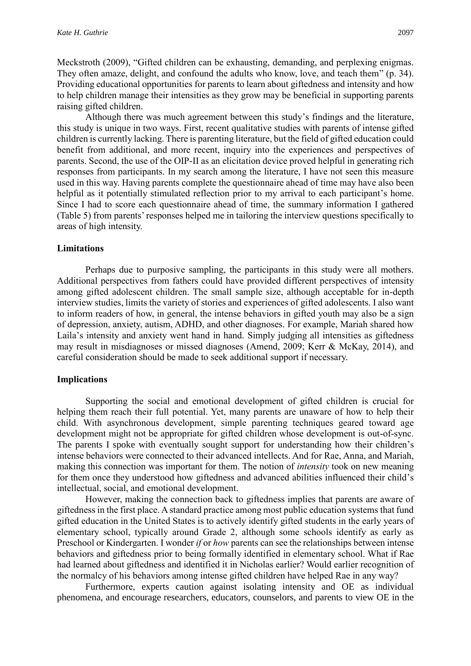Meckstroth (2009), "Gifted children can be exhausting, demanding, and perplexing enigmas. They often amaze, delight, and confound the adults who know, love, and teach them" (p. 34). Providing educational opportunities for parents to learn about giftedness and intensity and how to help children manage their intensities as they grow may be beneficial in supporting parents raising gifted children.

Although there was much agreement between this study's findings and the literature, this study is unique in two ways. First, recent qualitative studies with parents of intense gifted children is currently lacking. There is parenting literature, but the field of gifted education could benefit from additional, and more recent, inquiry into the experiences and perspectives of parents. Second, the use of the OIP-II as an elicitation device proved helpful in generating rich responses from participants. In my search among the literature, I have not seen this measure used in this way. Having parents complete the questionnaire ahead of time may have also been helpful as it potentially stimulated reflection prior to my arrival to each participant's home. Since I had to score each questionnaire ahead of time, the summary information I gathered (Table 5) from parents' responses helped me in tailoring the interview questions specifically to areas of high intensity.

## **Limitations**

Perhaps due to purposive sampling, the participants in this study were all mothers. Additional perspectives from fathers could have provided different perspectives of intensity among gifted adolescent children. The small sample size, although acceptable for in-depth interview studies, limits the variety of stories and experiences of gifted adolescents. I also want to inform readers of how, in general, the intense behaviors in gifted youth may also be a sign of depression, anxiety, autism, ADHD, and other diagnoses. For example, Mariah shared how Laila's intensity and anxiety went hand in hand. Simply judging all intensities as giftedness may result in misdiagnoses or missed diagnoses (Amend, 2009; Kerr & McKay, 2014), and careful consideration should be made to seek additional support if necessary.

### **Implications**

Supporting the social and emotional development of gifted children is crucial for helping them reach their full potential. Yet, many parents are unaware of how to help their child. With asynchronous development, simple parenting techniques geared toward age development might not be appropriate for gifted children whose development is out-of-sync. The parents I spoke with eventually sought support for understanding how their children's intense behaviors were connected to their advanced intellects. And for Rae, Anna, and Mariah, making this connection was important for them. The notion of *intensity* took on new meaning for them once they understood how giftedness and advanced abilities influenced their child's intellectual, social, and emotional development.

However, making the connection back to giftedness implies that parents are aware of giftedness in the first place. A standard practice among most public education systems that fund gifted education in the United States is to actively identify gifted students in the early years of elementary school, typically around Grade 2, although some schools identify as early as Preschool or Kindergarten. I wonder *if* or *how* parents can see the relationships between intense behaviors and giftedness prior to being formally identified in elementary school. What if Rae had learned about giftedness and identified it in Nicholas earlier? Would earlier recognition of the normalcy of his behaviors among intense gifted children have helped Rae in any way?

Furthermore, experts caution against isolating intensity and OE as individual phenomena, and encourage researchers, educators, counselors, and parents to view OE in the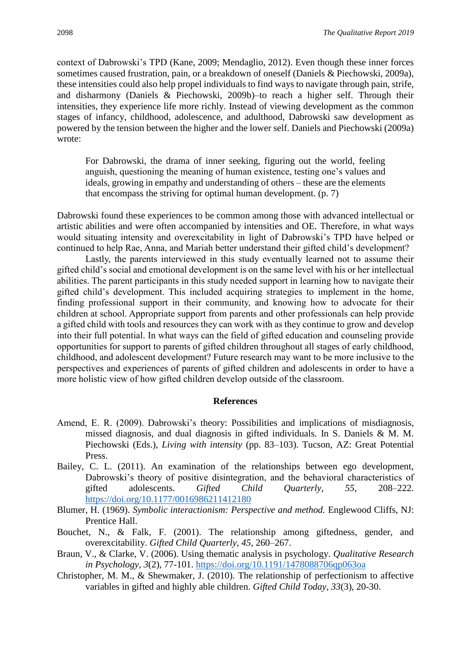context of Dabrowski's TPD (Kane, 2009; Mendaglio, 2012). Even though these inner forces sometimes caused frustration, pain, or a breakdown of oneself (Daniels & Piechowski, 2009a), these intensities could also help propel individuals to find ways to navigate through pain, strife, and disharmony (Daniels & Piechowski, 2009b)–to reach a higher self. Through their intensities, they experience life more richly. Instead of viewing development as the common stages of infancy, childhood, adolescence, and adulthood, Dabrowski saw development as powered by the tension between the higher and the lower self. Daniels and Piechowski (2009a) wrote:

For Dabrowski, the drama of inner seeking, figuring out the world, feeling anguish, questioning the meaning of human existence, testing one's values and ideals, growing in empathy and understanding of others – these are the elements that encompass the striving for optimal human development. (p. 7)

Dabrowski found these experiences to be common among those with advanced intellectual or artistic abilities and were often accompanied by intensities and OE. Therefore, in what ways would situating intensity and overexcitability in light of Dabrowski's TPD have helped or continued to help Rae, Anna, and Mariah better understand their gifted child's development?

Lastly, the parents interviewed in this study eventually learned not to assume their gifted child's social and emotional development is on the same level with his or her intellectual abilities. The parent participants in this study needed support in learning how to navigate their gifted child's development. This included acquiring strategies to implement in the home, finding professional support in their community, and knowing how to advocate for their children at school. Appropriate support from parents and other professionals can help provide a gifted child with tools and resources they can work with as they continue to grow and develop into their full potential. In what ways can the field of gifted education and counseling provide opportunities for support to parents of gifted children throughout all stages of early childhood, childhood, and adolescent development? Future research may want to be more inclusive to the perspectives and experiences of parents of gifted children and adolescents in order to have a more holistic view of how gifted children develop outside of the classroom.

#### **References**

- Amend, E. R. (2009). Dabrowski's theory: Possibilities and implications of misdiagnosis, missed diagnosis, and dual diagnosis in gifted individuals. In S. Daniels & M. M. Piechowski (Eds.), *Living with intensity* (pp. 83–103). Tucson, AZ: Great Potential Press.
- Bailey, C. L. (2011). An examination of the relationships between ego development, Dabrowski's theory of positive disintegration, and the behavioral characteristics of gifted adolescents. *Gifted Child Quarterly*, *55*, 208–222. <https://doi.org/10.1177/0016986211412180>
- Blumer, H. (1969). *Symbolic interactionism: Perspective and method.* Englewood Cliffs, NJ: Prentice Hall.
- Bouchet, N., & Falk, F. (2001). The relationship among giftedness, gender, and overexcitability. *Gifted Child Quarterly*, *45*, 260–267.
- Braun, V., & Clarke, V. (2006). Using thematic analysis in psychology. *Qualitative Research in Psychology, 3*(2), 77-101.<https://doi.org/10.1191/1478088706qp063oa>
- Christopher, M. M., & Shewmaker, J. (2010). The relationship of perfectionism to affective variables in gifted and highly able children. *Gifted Child Today, 33*(3), 20-30.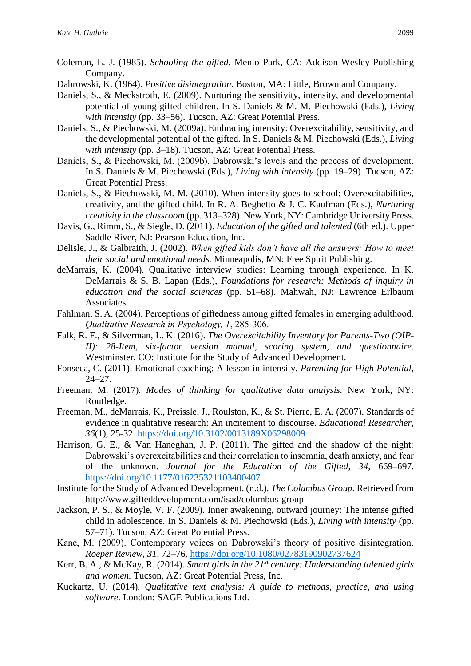- Coleman, L. J. (1985). *Schooling the gifted.* Menlo Park, CA: Addison-Wesley Publishing Company.
- Dabrowski, K. (1964). *Positive disintegration*. Boston, MA: Little, Brown and Company.
- Daniels, S., & Meckstroth, E. (2009). Nurturing the sensitivity, intensity, and developmental potential of young gifted children. In S. Daniels & M. M. Piechowski (Eds.), *Living with intensity* (pp. 33–56). Tucson, AZ: Great Potential Press.
- Daniels, S., & Piechowski, M. (2009a). Embracing intensity: Overexcitability, sensitivity, and the developmental potential of the gifted. In S. Daniels & M. Piechowski (Eds.), *Living with intensity* (pp. 3–18). Tucson, AZ: Great Potential Press.
- Daniels, S., & Piechowski, M. (2009b). Dabrowski's levels and the process of development. In S. Daniels & M. Piechowski (Eds.), *Living with intensity* (pp. 19–29). Tucson, AZ: Great Potential Press.
- Daniels, S., & Piechowski, M. M. (2010). When intensity goes to school: Overexcitabilities, creativity, and the gifted child. In R. A. Beghetto & J. C. Kaufman (Eds.), *Nurturing creativity in the classroom* (pp. 313–328). New York, NY: Cambridge University Press.
- Davis, G., Rimm, S., & Siegle, D. (2011). *Education of the gifted and talented* (6th ed.). Upper Saddle River, NJ: Pearson Education, Inc.
- Delisle, J., & Galbraith, J. (2002). *When gifted kids don't have all the answers: How to meet their social and emotional needs.* Minneapolis, MN: Free Spirit Publishing.
- deMarrais, K. (2004). Qualitative interview studies: Learning through experience. In K. DeMarrais & S. B. Lapan (Eds.), *Foundations for research: Methods of inquiry in education and the social sciences* (pp. 51–68). Mahwah, NJ: Lawrence Erlbaum Associates.
- Fahlman, S. A. (2004). Perceptions of giftedness among gifted females in emerging adulthood. *Qualitative Research in Psychology, 1*, 285-306.
- Falk, R. F., & Silverman, L. K. (2016). *The Overexcitability Inventory for Parents-Two (OIP-II):* 28-Item, six-factor version manual, scoring system, and questionnaire. Westminster, CO: Institute for the Study of Advanced Development.
- Fonseca, C. (2011). Emotional coaching: A lesson in intensity. *Parenting for High Potential*, 24–27.
- Freeman, M. (2017). *Modes of thinking for qualitative data analysis.* New York, NY: Routledge.
- Freeman, M., deMarrais, K., Preissle, J., Roulston, K., & St. Pierre, E. A. (2007). Standards of evidence in qualitative research: An incitement to discourse. *Educational Researcher, 36*(1), 25-32.<https://doi.org/10.3102/0013189X06298009>
- Harrison, G. E., & Van Haneghan, J. P. (2011). The gifted and the shadow of the night: Dabrowski's overexcitabilities and their correlation to insomnia, death anxiety, and fear of the unknown. *Journal for the Education of the Gifted*, *34*, 669–697. <https://doi.org/10.1177/016235321103400407>
- Institute for the Study of Advanced Development. (n.d.). *The Columbus Group.* Retrieved from <http://www.gifteddevelopment.com/isad/columbus-group>
- Jackson, P. S., & Moyle, V. F. (2009). Inner awakening, outward journey: The intense gifted child in adolescence*.* In S. Daniels & M. Piechowski (Eds.), *Living with intensity* (pp. 57–71). Tucson, AZ: Great Potential Press.
- Kane, M. (2009). Contemporary voices on Dabrowski's theory of positive disintegration. *Roeper Review*, *31*, 72–76.<https://doi.org/10.1080/02783190902737624>
- Kerr, B. A., & McKay, R. (2014). *Smart girls in the 21st century: Understanding talented girls and women.* Tucson, AZ: Great Potential Press, Inc.
- Kuckartz, U. (2014)*. Qualitative text analysis: A guide to methods, practice, and using software*. London: SAGE Publications Ltd.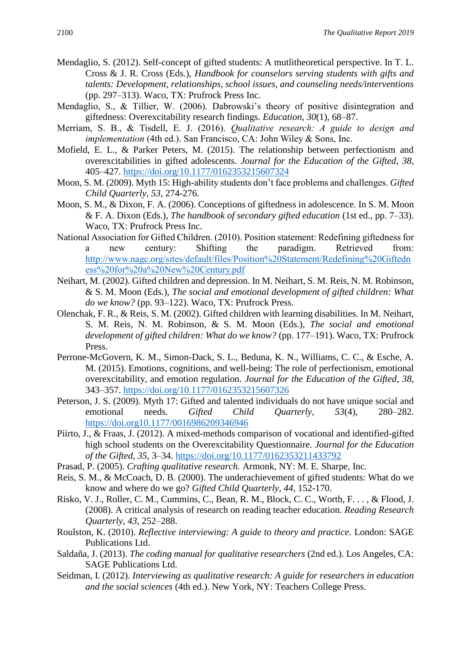- Mendaglio, S. (2012). Self-concept of gifted students: A mutlitheoretical perspective. In T. L. Cross & J. R. Cross (Eds.), *Handbook for counselors serving students with gifts and talents: Development, relationships, school issues, and counseling needs/interventions*  (pp. 297–313). Waco, TX: Prufrock Press Inc.
- Mendaglio, S., & Tillier, W. (2006). Dabrowski's theory of positive disintegration and giftedness: Overexcitability research findings. *Education*, *30*(1), 68–87.
- Merriam, S. B., & Tisdell, E. J. (2016). *Qualitative research: A guide to design and implementation* (4th ed.). San Francisco, CA: John Wiley & Sons, Inc.
- Mofield, E. L., & Parker Peters, M. (2015). The relationship between perfectionism and overexcitabilities in gifted adolescents. *Journal for the Education of the Gifted*, *38*, 405–427.<https://doi.org/10.1177/0162353215607324>
- Moon, S. M. (2009). Myth 15: High-ability students don't face problems and challenges. *Gifted Child Quarterly, 53*, 274-276.
- Moon, S. M., & Dixon, F. A. (2006). Conceptions of giftedness in adolescence. In S. M. Moon & F. A. Dixon (Eds.), *The handbook of secondary gifted education* (1st ed., pp. 7–33). Waco, TX: Prufrock Press Inc.
- National Association for Gifted Children. (2010). Position statement: Redefining giftedness for a new century: Shifting the paradigm. Retrieved from: [http://www.nagc.org/sites/default/files/Position%20Statement/Redefining%20Giftedn](http://www.nagc.org/sites/default/files/Position%20Statement/Redefining%20Giftedness%20for%20a%20New%20Century.pdf) [ess%20for%20a%20New%20Century.pdf](http://www.nagc.org/sites/default/files/Position%20Statement/Redefining%20Giftedness%20for%20a%20New%20Century.pdf)
- Neihart, M. (2002). Gifted children and depression. In M. Neihart, S. M. Reis, N. M. Robinson, & S. M. Moon (Eds.), *The social and emotional development of gifted children: What do we know?* (pp. 93–122). Waco, TX: Prufrock Press.
- Olenchak, F. R., & Reis, S. M. (2002). Gifted children with learning disabilities. In M. Neihart, S. M. Reis, N. M. Robinson, & S. M. Moon (Eds.), *The social and emotional development of gifted children: What do we know?* (pp. 177–191). Waco, TX: Prufrock Press.
- Perrone-McGovern, K. M., Simon-Dack, S. L., Beduna, K. N., Williams, C. C., & Esche, A. M. (2015). Emotions, cognitions, and well-being: The role of perfectionism, emotional overexcitability, and emotion regulation. *Journal for the Education of the Gifted*, *38*, 343–357.<https://doi.org/10.1177/0162353215607326>
- Peterson, J. S. (2009). Myth 17: Gifted and talented individuals do not have unique social and emotional needs. *Gifted Child Quarterly*, *53*(4), 280–282. <https://doi.org10.1177/0016986209346946>
- Piirto, J., & Fraas, J. (2012). A mixed-methods comparison of vocational and identified-gifted high school students on the Overexcitability Questionnaire. *Journal for the Education of the Gifted*, *35*, 3–34.<https://doi.org/10.1177/0162353211433792>
- Prasad, P. (2005). *Crafting qualitative research.* Armonk, NY: M. E. Sharpe, Inc.
- Reis, S. M., & McCoach, D. B. (2000). The underachievement of gifted students: What do we know and where do we go? *Gifted Child Quarterly, 44*, 152-170.
- Risko, V. J., Roller, C. M., Cummins, C., Bean, R. M., Block, C. C., Worth, F. . . , & Flood, J. (2008). A critical analysis of research on reading teacher education. *Reading Research Quarterly*, *43*, 252–288.
- Roulston, K. (2010). *Reflective interviewing: A guide to theory and practice.* London: SAGE Publications Ltd.
- Saldaña, J. (2013). *The coding manual for qualitative researchers* (2nd ed.). Los Angeles, CA: SAGE Publications Ltd.
- Seidman, I. (2012). *Interviewing as qualitative research: A guide for researchers in education and the social sciences* (4th ed.). New York, NY: Teachers College Press.